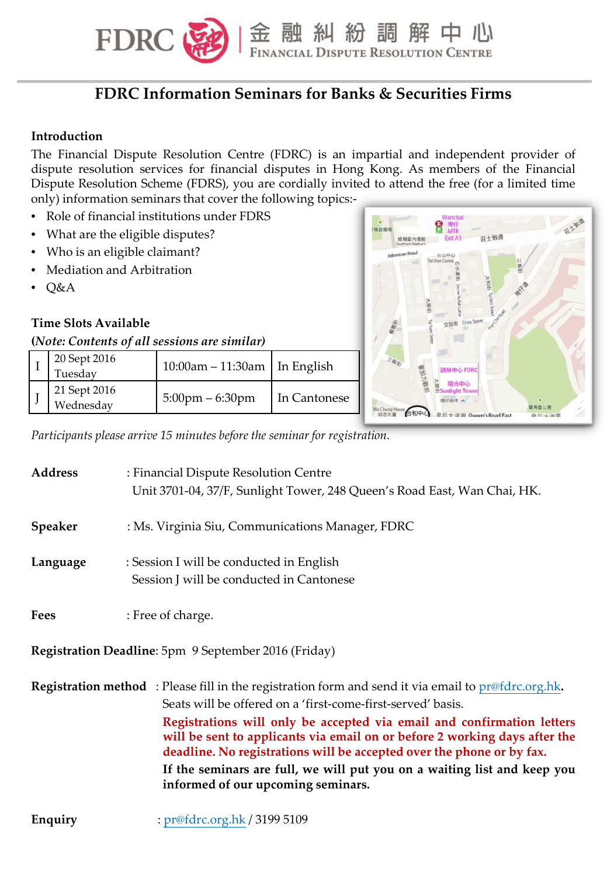

# **FDRC Information Seminars for Banks & Securities Firms**

### **Introduction**

The Financial Dispute Resolution Centre (FDRC) is an impartial and independent provider of dispute resolution services for financial disputes in Hong Kong. As members of the Financial Dispute Resolution Scheme (FDRS), you are cordially invited to attend the free (for a limited time only) information seminars that cover the following topics:-

- Role of financial institutions under FDRS
- What are the eligible disputes?
- Who is an eligible claimant?
- Mediation and Arbitration
- Q&A

## **Time Slots Available**

#### **(***Note: Contents of all sessions are similar)*

| 20 Sept 2016<br>Tuesday   | $10:00$ am – 11:30am   In English |              |
|---------------------------|-----------------------------------|--------------|
| 21 Sept 2016<br>Wednesday | $5:00 \text{pm} - 6:30 \text{pm}$ | In Cantonese |



*Participants please arrive 15 minutes before the seminar for registration.*

| <b>Address</b> | : Financial Dispute Resolution Centre<br>Unit 3701-04, 37/F, Sunlight Tower, 248 Queen's Road East, Wan Chai, HK.                                                                                                                                                                                                                                                                                                                                                                                                               |
|----------------|---------------------------------------------------------------------------------------------------------------------------------------------------------------------------------------------------------------------------------------------------------------------------------------------------------------------------------------------------------------------------------------------------------------------------------------------------------------------------------------------------------------------------------|
| <b>Speaker</b> | : Ms. Virginia Siu, Communications Manager, FDRC                                                                                                                                                                                                                                                                                                                                                                                                                                                                                |
| Language       | : Session I will be conducted in English<br>Session J will be conducted in Cantonese                                                                                                                                                                                                                                                                                                                                                                                                                                            |
| <b>Fees</b>    | : Free of charge.                                                                                                                                                                                                                                                                                                                                                                                                                                                                                                               |
|                | Registration Deadline: 5pm 9 September 2016 (Friday)                                                                                                                                                                                                                                                                                                                                                                                                                                                                            |
|                | <b>Registration method</b> : Please fill in the registration form and send it via email to $pr@fdrc.org.hk$ .<br>Seats will be offered on a 'first-come-first-served' basis.<br>Registrations will only be accepted via email and confirmation letters<br>will be sent to applicants via email on or before 2 working days after the<br>deadline. No registrations will be accepted over the phone or by fax.<br>If the seminars are full, we will put you on a waiting list and keep you<br>informed of our upcoming seminars. |

**Enquiry** : pr@fdrc.org.hk / 3199 5109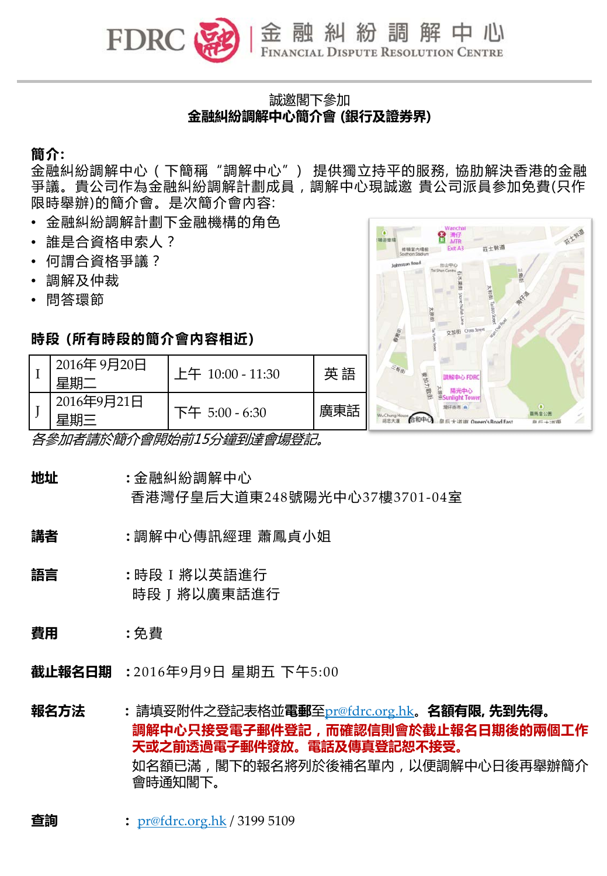

# 誠邀閣下參加 **金融糾紛調解中心簡介會 (銀行及證券界)**

**簡介:** 

金融糾紛調解中心 (下簡稱"調解中心") 提供獨立持平的服務,協肋解決香港的金融 爭議。貴公司作為金融糾紛調解計劃成員,調解中心現誠邀 貴公司派員参加免費(只作 限時舉辦)的簡介會。是次簡介會內容:

- 金融糾紛調解計劃下金融機構的角色
- 誰是合資格申索人?
- 何謂合資格爭議?

 $I \parallel \frac{2016}{\text{#}\,\text{#}}$ 

- 調解及仲裁
- 問答環節

## **時段 (所有時段的簡介會內容相近)**



| 2016年9月21日<br>是酣三 | 下午 5:00 - 6:30          | 廣東詁 |
|-------------------|-------------------------|-----|
|                   | 各參加者請於簡介會開始前15分鐘到達會場登記。 |     |

**地址 :** 金融糾紛調解中心

香港灣仔皇后大道東248號陽光中心37樓3701-04室

- **講者 :** 調解中心傳訊經理 蕭鳳貞小姐
- **語言 :** 時段 I 將以英語進行 時段 J 將以廣東話進行
- **費用 :** 免費

**截止報名日期 :** 2016年9月9日 星期五 下午5:00

**報名方法 :** 請填妥附件之登記表格並**電郵**至pr@fdrc.org.hk。**名額有限, 先到先得。 調解中心只接受電子郵件登記,而確認信則會於截止報名日期後的兩個工作 天或之前透過電子郵件發放。電話及傳真登記恕不接受。** 如名額已滿,閣下的報名將列於後補名單內,以便調解中心日後再舉辦簡介 會時通知閣下。

**查詢 :** pr@fdrc.org.hk / 3199 5109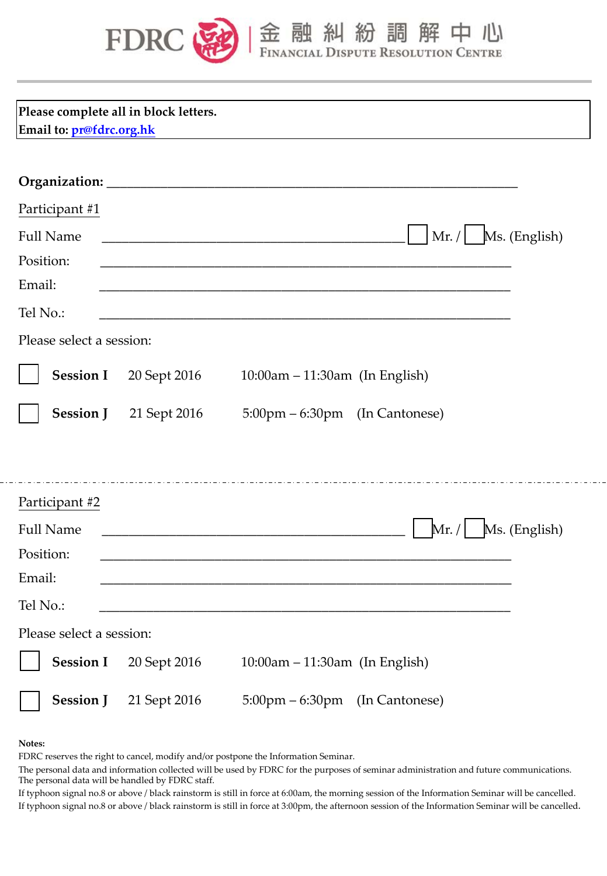

| 金融糾紛調解中心

| Email to: pr@fdrc.org.hk | Please complete all in block letters.                                                                                                                        |                                                                                                                       |                       |  |
|--------------------------|--------------------------------------------------------------------------------------------------------------------------------------------------------------|-----------------------------------------------------------------------------------------------------------------------|-----------------------|--|
|                          |                                                                                                                                                              |                                                                                                                       |                       |  |
| Participant #1           |                                                                                                                                                              |                                                                                                                       |                       |  |
| <b>Full Name</b>         | $\vert$ Mr. / $\vert$ Ms. (English)<br><u> 1980 - Johann John Stone, meil er fan de ferske fan de ferske fan de ferske fan de ferske fan de ferske fan d</u> |                                                                                                                       |                       |  |
| Position:                |                                                                                                                                                              | <u> 1989 - Johann Barn, amerikan besteman besteman besteman besteman besteman besteman besteman besteman besteman</u> |                       |  |
| Email:                   |                                                                                                                                                              |                                                                                                                       |                       |  |
| Tel No.:                 |                                                                                                                                                              |                                                                                                                       |                       |  |
| Please select a session: |                                                                                                                                                              |                                                                                                                       |                       |  |
| <b>Session I</b>         | 20 Sept 2016                                                                                                                                                 | 10:00am - 11:30am (In English)                                                                                        |                       |  |
| <b>Session J</b>         | 21 Sept 2016                                                                                                                                                 | $5:00 \text{pm} - 6:30 \text{pm}$ (In Cantonese)                                                                      |                       |  |
|                          |                                                                                                                                                              |                                                                                                                       |                       |  |
| Participant #2           |                                                                                                                                                              |                                                                                                                       |                       |  |
| <b>Full Name</b>         |                                                                                                                                                              |                                                                                                                       | $Mr. /$ Ms. (English) |  |
| Position:                |                                                                                                                                                              |                                                                                                                       |                       |  |
| Email:                   |                                                                                                                                                              |                                                                                                                       |                       |  |
| Tel No.:                 |                                                                                                                                                              |                                                                                                                       |                       |  |
| Please select a session: |                                                                                                                                                              |                                                                                                                       |                       |  |
| <b>Session I</b>         | 20 Sept 2016                                                                                                                                                 | 10:00am - 11:30am (In English)                                                                                        |                       |  |
| <b>Session J</b>         | 21 Sept 2016                                                                                                                                                 | 5:00pm - 6:30pm (In Cantonese)                                                                                        |                       |  |

**Notes:**

FDRC reserves the right to cancel, modify and/or postpone the Information Seminar.

The personal data and information collected will be used by FDRC for the purposes of seminar administration and future communications. The personal data will be handled by FDRC staff.

If typhoon signal no.8 or above / black rainstorm is still in force at 6:00am, the morning session of the Information Seminar will be cancelled. If typhoon signal no.8 or above / black rainstorm is still in force at 3:00pm, the afternoon session of the Information Seminar will be cancelled.